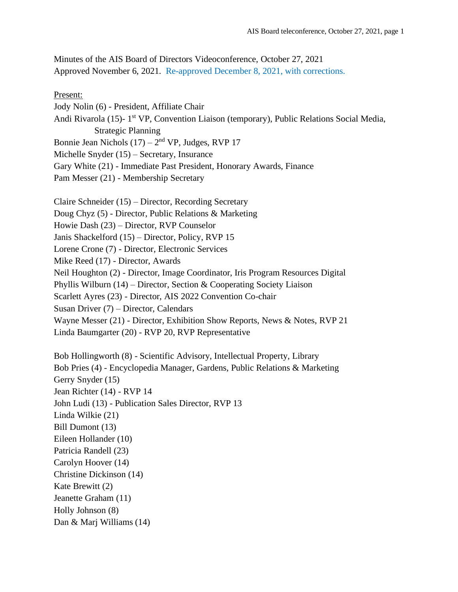Minutes of the AIS Board of Directors Videoconference, October 27, 2021 Approved November 6, 2021. Re-approved December 8, 2021, with corrections.

Present:

Jody Nolin (6) - President, Affiliate Chair Andi Rivarola (15)- 1<sup>st</sup> VP, Convention Liaison (temporary), Public Relations Social Media, Strategic Planning Bonnie Jean Nichols  $(17) - 2<sup>nd</sup> VP$ , Judges, RVP 17 Michelle Snyder (15) – Secretary, Insurance Gary White (21) - Immediate Past President, Honorary Awards, Finance Pam Messer (21) - Membership Secretary

Claire Schneider (15) – Director, Recording Secretary Doug Chyz (5) - Director, Public Relations & Marketing Howie Dash (23) – Director, RVP Counselor Janis Shackelford (15) – Director, Policy, RVP 15 Lorene Crone (7) - Director, Electronic Services Mike Reed (17) - Director, Awards Neil Houghton (2) - Director, Image Coordinator, Iris Program Resources Digital Phyllis Wilburn (14) – Director, Section & Cooperating Society Liaison Scarlett Ayres (23) - Director, AIS 2022 Convention Co-chair Susan Driver (7) – Director, Calendars Wayne Messer (21) - Director, Exhibition Show Reports, News & Notes, RVP 21 Linda Baumgarter (20) - RVP 20, RVP Representative

Bob Hollingworth (8) - Scientific Advisory, Intellectual Property, Library Bob Pries (4) - Encyclopedia Manager, Gardens, Public Relations & Marketing Gerry Snyder (15) Jean Richter (14) - RVP 14 John Ludi (13) - Publication Sales Director, RVP 13 Linda Wilkie (21) Bill Dumont (13) Eileen Hollander (10) Patricia Randell (23) Carolyn Hoover (14) Christine Dickinson (14) Kate Brewitt (2) Jeanette Graham (11) Holly Johnson (8) Dan & Marj Williams (14)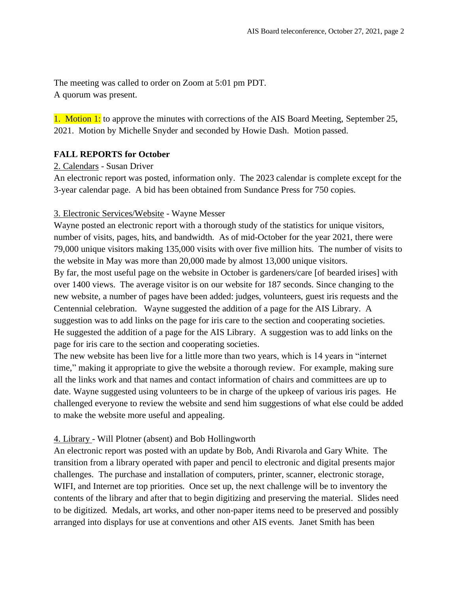The meeting was called to order on Zoom at 5:01 pm PDT. A quorum was present.

1. Motion 1: to approve the minutes with corrections of the AIS Board Meeting, September 25, 2021. Motion by Michelle Snyder and seconded by Howie Dash. Motion passed.

# **FALL REPORTS for October**

2. Calendars - Susan Driver

An electronic report was posted, information only. The 2023 calendar is complete except for the 3-year calendar page. A bid has been obtained from Sundance Press for 750 copies.

### 3. Electronic Services/Website - Wayne Messer

Wayne posted an electronic report with a thorough study of the statistics for unique visitors, number of visits, pages, hits, and bandwidth. As of mid-October for the year 2021, there were 79,000 unique visitors making 135,000 visits with over five million hits. The number of visits to the website in May was more than 20,000 made by almost 13,000 unique visitors. By far, the most useful page on the website in October is gardeners/care [of bearded irises] with over 1400 views. The average visitor is on our website for 187 seconds. Since changing to the new website, a number of pages have been added: judges, volunteers, guest iris requests and the Centennial celebration. Wayne suggested the addition of a page for the AIS Library. A suggestion was to add links on the page for iris care to the section and cooperating societies. He suggested the addition of a page for the AIS Library. A suggestion was to add links on the page for iris care to the section and cooperating societies.

The new website has been live for a little more than two years, which is 14 years in "internet time," making it appropriate to give the website a thorough review. For example, making sure all the links work and that names and contact information of chairs and committees are up to date. Wayne suggested using volunteers to be in charge of the upkeep of various iris pages. He challenged everyone to review the website and send him suggestions of what else could be added to make the website more useful and appealing.

### 4. Library - Will Plotner (absent) and Bob Hollingworth

An electronic report was posted with an update by Bob, Andi Rivarola and Gary White. The transition from a library operated with paper and pencil to electronic and digital presents major challenges. The purchase and installation of computers, printer, scanner, electronic storage, WIFI, and Internet are top priorities. Once set up, the next challenge will be to inventory the contents of the library and after that to begin digitizing and preserving the material. Slides need to be digitized. Medals, art works, and other non-paper items need to be preserved and possibly arranged into displays for use at conventions and other AIS events. Janet Smith has been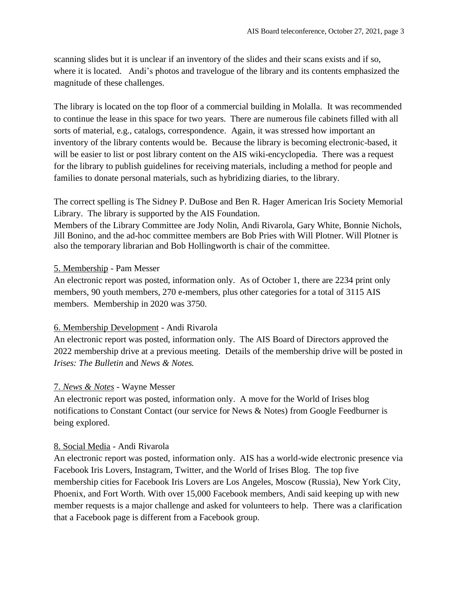scanning slides but it is unclear if an inventory of the slides and their scans exists and if so, where it is located. Andi's photos and travelogue of the library and its contents emphasized the magnitude of these challenges.

The library is located on the top floor of a commercial building in Molalla. It was recommended to continue the lease in this space for two years. There are numerous file cabinets filled with all sorts of material, e.g., catalogs, correspondence. Again, it was stressed how important an inventory of the library contents would be. Because the library is becoming electronic-based, it will be easier to list or post library content on the AIS wiki-encyclopedia. There was a request for the library to publish guidelines for receiving materials, including a method for people and families to donate personal materials, such as hybridizing diaries, to the library.

The correct spelling is The Sidney P. DuBose and Ben R. Hager American Iris Society Memorial Library. The library is supported by the AIS Foundation.

Members of the Library Committee are Jody Nolin, Andi Rivarola, Gary White, Bonnie Nichols, Jill Bonino, and the ad-hoc committee members are Bob Pries with Will Plotner. Will Plotner is also the temporary librarian and Bob Hollingworth is chair of the committee.

### 5. Membership - Pam Messer

An electronic report was posted, information only. As of October 1, there are 2234 print only members, 90 youth members, 270 e-members, plus other categories for a total of 3115 AIS members. Membership in 2020 was 3750.

### 6. Membership Development - Andi Rivarola

An electronic report was posted, information only. The AIS Board of Directors approved the 2022 membership drive at a previous meeting. Details of the membership drive will be posted in *Irises: The Bulletin* and *News & Notes.*

### 7. *News & Notes* - Wayne Messer

An electronic report was posted, information only. A move for the World of Irises blog notifications to Constant Contact (our service for News & Notes) from Google Feedburner is being explored.

### 8. Social Media - Andi Rivarola

An electronic report was posted, information only. AIS has a world-wide electronic presence via Facebook Iris Lovers, Instagram, Twitter, and the World of Irises Blog. The top five membership cities for Facebook Iris Lovers are Los Angeles, Moscow (Russia), New York City, Phoenix, and Fort Worth. With over 15,000 Facebook members, Andi said keeping up with new member requests is a major challenge and asked for volunteers to help. There was a clarification that a Facebook page is different from a Facebook group.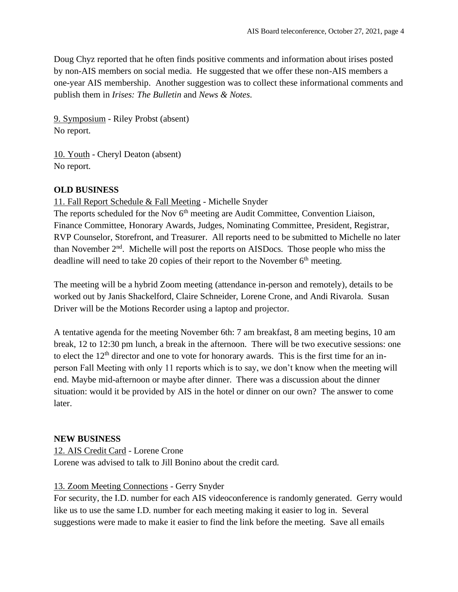Doug Chyz reported that he often finds positive comments and information about irises posted by non-AIS members on social media. He suggested that we offer these non-AIS members a one-year AIS membership. Another suggestion was to collect these informational comments and publish them in *Irises: The Bulletin* and *News & Notes*.

9. Symposium - Riley Probst (absent) No report.

10. Youth - Cheryl Deaton (absent) No report.

## **OLD BUSINESS**

11. Fall Report Schedule & Fall Meeting - Michelle Snyder

The reports scheduled for the Nov 6<sup>th</sup> meeting are Audit Committee, Convention Liaison, Finance Committee, Honorary Awards, Judges, Nominating Committee, President, Registrar, RVP Counselor, Storefront, and Treasurer. All reports need to be submitted to Michelle no later than November 2nd. Michelle will post the reports on AISDocs. Those people who miss the deadline will need to take 20 copies of their report to the November  $6<sup>th</sup>$  meeting.

The meeting will be a hybrid Zoom meeting (attendance in-person and remotely), details to be worked out by Janis Shackelford, Claire Schneider, Lorene Crone, and Andi Rivarola. Susan Driver will be the Motions Recorder using a laptop and projector.

A tentative agenda for the meeting November 6th: 7 am breakfast, 8 am meeting begins, 10 am break, 12 to 12:30 pm lunch, a break in the afternoon. There will be two executive sessions: one to elect the  $12<sup>th</sup>$  director and one to vote for honorary awards. This is the first time for an inperson Fall Meeting with only 11 reports which is to say, we don't know when the meeting will end. Maybe mid-afternoon or maybe after dinner. There was a discussion about the dinner situation: would it be provided by AIS in the hotel or dinner on our own? The answer to come later.

### **NEW BUSINESS**

12. AIS Credit Card - Lorene Crone

Lorene was advised to talk to Jill Bonino about the credit card.

### 13. Zoom Meeting Connections - Gerry Snyder

For security, the I.D. number for each AIS videoconference is randomly generated. Gerry would like us to use the same I.D. number for each meeting making it easier to log in. Several suggestions were made to make it easier to find the link before the meeting. Save all emails